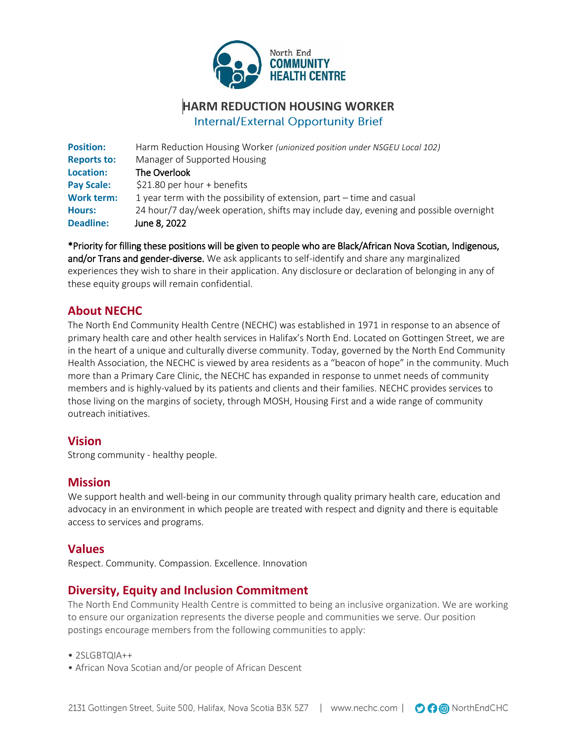

# **HARM REDUCTION HOUSING WORKER Internal/External Opportunity Brief**

| <b>Deadline:</b>   | June 8, 2022                                                                         |
|--------------------|--------------------------------------------------------------------------------------|
| <b>Hours:</b>      | 24 hour/7 day/week operation, shifts may include day, evening and possible overnight |
| <b>Work term:</b>  | 1 year term with the possibility of extension, part $-$ time and casual              |
| <b>Pay Scale:</b>  | $$21.80$ per hour + benefits                                                         |
| Location:          | The Overlook                                                                         |
| <b>Reports to:</b> | Manager of Supported Housing                                                         |
| <b>Position:</b>   | Harm Reduction Housing Worker (unionized position under NSGEU Local 102)             |

\*Priority for filling these positions will be given to people who are Black/African Nova Scotian, Indigenous, and/or Trans and gender-diverse. We ask applicants to self-identify and share any marginalized experiences they wish to share in their application. Any disclosure or declaration of belonging in any of these equity groups will remain confidential.

# **About NECHC**

The North End Community Health Centre (NECHC) was established in 1971 in response to an absence of primary health care and other health services in Halifax's North End. Located on Gottingen Street, we are in the heart of a unique and culturally diverse community. Today, governed by the North End Community Health Association, the NECHC is viewed by area residents as a "beacon of hope" in the community. Much more than a Primary Care Clinic, the NECHC has expanded in response to unmet needs of community members and is highly-valued by its patients and clients and their families. NECHC provides services to those living on the margins of society, through MOSH, Housing First and a wide range of community outreach initiatives.

#### **Vision**

Strong community - healthy people.

#### **Mission**

We support health and well-being in our community through quality primary health care, education and advocacy in an environment in which people are treated with respect and dignity and there is equitable access to services and programs.

#### **Values**

Respect. Community. Compassion. Excellence. Innovation

# **Diversity, Equity and Inclusion Commitment**

The North End Community Health Centre is committed to being an inclusive organization. We are working to ensure our organization represents the diverse people and communities we serve. Our position postings encourage members from the following communities to apply:

 $\bullet$  2SLGBTOIA++

• African Nova Scotian and/or people of African Descent

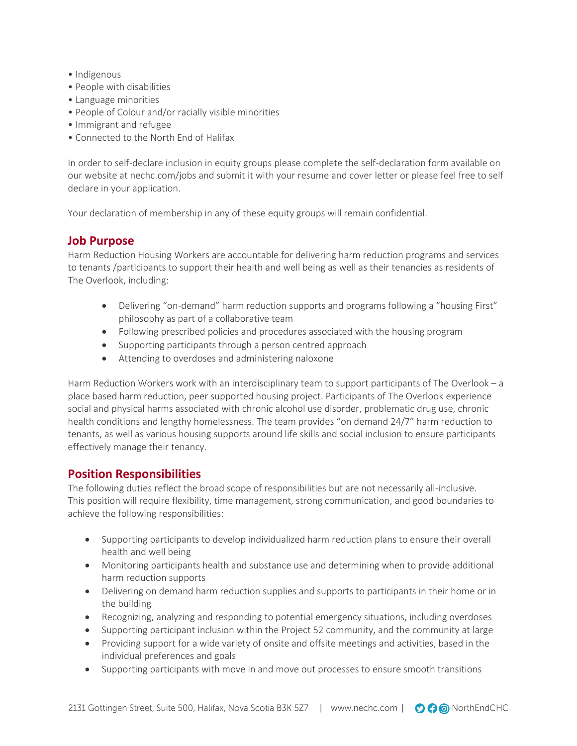- Indigenous
- People with disabilities
- Language minorities
- People of Colour and/or racially visible minorities
- Immigrant and refugee
- Connected to the North End of Halifax

In order to self-declare inclusion in equity groups please complete the self-declaration form available on our website at nechc.com/jobs and submit it with your resume and cover letter or please feel free to self declare in your application.

Your declaration of membership in any of these equity groups will remain confidential.

#### **Job Purpose**

Harm Reduction Housing Workers are accountable for delivering harm reduction programs and services to tenants /participants to support their health and well being as well as their tenancies as residents of The Overlook, including:

- Delivering "on-demand" harm reduction supports and programs following a "housing First" philosophy as part of a collaborative team
- Following prescribed policies and procedures associated with the housing program
- Supporting participants through a person centred approach
- Attending to overdoses and administering naloxone

Harm Reduction Workers work with an interdisciplinary team to support participants of The Overlook – a place based harm reduction, peer supported housing project. Participants of The Overlook experience social and physical harms associated with chronic alcohol use disorder, problematic drug use, chronic health conditions and lengthy homelessness. The team provides "on demand 24/7" harm reduction to tenants, as well as various housing supports around life skills and social inclusion to ensure participants effectively manage their tenancy.

#### **Position Responsibilities**

The following duties reflect the broad scope of responsibilities but are not necessarily all-inclusive. This position will require flexibility, time management, strong communication, and good boundaries to achieve the following responsibilities:

- Supporting participants to develop individualized harm reduction plans to ensure their overall health and well being
- Monitoring participants health and substance use and determining when to provide additional harm reduction supports
- Delivering on demand harm reduction supplies and supports to participants in their home or in the building
- Recognizing, analyzing and responding to potential emergency situations, including overdoses
- Supporting participant inclusion within the Project 52 community, and the community at large
- Providing support for a wide variety of onsite and offsite meetings and activities, based in the individual preferences and goals
- Supporting participants with move in and move out processes to ensure smooth transitions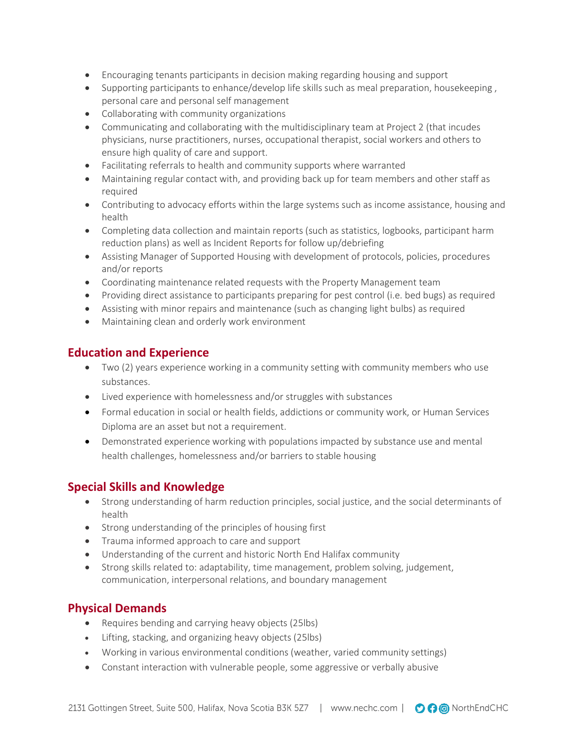- Encouraging tenants participants in decision making regarding housing and support
- Supporting participants to enhance/develop life skills such as meal preparation, housekeeping, personal care and personal self management
- Collaborating with community organizations
- Communicating and collaborating with the multidisciplinary team at Project 2 (that incudes physicians, nurse practitioners, nurses, occupational therapist, social workers and others to ensure high quality of care and support.
- Facilitating referrals to health and community supports where warranted
- Maintaining regular contact with, and providing back up for team members and other staff as required
- Contributing to advocacy efforts within the large systems such as income assistance, housing and health
- Completing data collection and maintain reports (such as statistics, logbooks, participant harm reduction plans) as well as Incident Reports for follow up/debriefing
- Assisting Manager of Supported Housing with development of protocols, policies, procedures and/or reports
- Coordinating maintenance related requests with the Property Management team
- Providing direct assistance to participants preparing for pest control (i.e. bed bugs) as required
- Assisting with minor repairs and maintenance (such as changing light bulbs) as required
- Maintaining clean and orderly work environment

### **Education and Experience**

- Two (2) years experience working in a community setting with community members who use substances.
- Lived experience with homelessness and/or struggles with substances
- Formal education in social or health fields, addictions or community work, or Human Services Diploma are an asset but not a requirement.
- Demonstrated experience working with populations impacted by substance use and mental health challenges, homelessness and/or barriers to stable housing

# **Special Skills and Knowledge**

- Strong understanding of harm reduction principles, social justice, and the social determinants of health
- Strong understanding of the principles of housing first
- Trauma informed approach to care and support
- Understanding of the current and historic North End Halifax community
- Strong skills related to: adaptability, time management, problem solving, judgement, communication, interpersonal relations, and boundary management

# **Physical Demands**

- Requires bending and carrying heavy objects (25lbs)
- Lifting, stacking, and organizing heavy objects (25lbs)
- Working in various environmental conditions (weather, varied community settings)
- Constant interaction with vulnerable people, some aggressive or verbally abusive